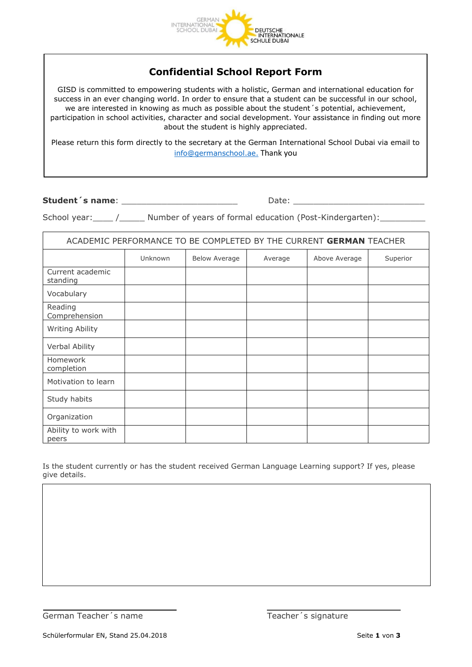

## **Confidential School Report Form**

GISD is committed to empowering students with a holistic, German and international education for success in an ever changing world. In order to ensure that a student can be successful in our school, we are interested in knowing as much as possible about the student´s potential, achievement, participation in school activities, character and social development. Your assistance in finding out more about the student is highly appreciated.

Please return this form directly to the secretary at the German International School Dubai via email to [info@germanschool.ae.](mailto:info@germanschool.ae) Thank you

**Student´s name**: \_\_\_\_\_\_\_\_\_\_\_\_\_\_\_\_\_\_\_\_\_\_\_ Date: \_\_\_\_\_\_\_\_\_\_\_\_\_\_\_\_\_\_\_\_\_\_\_\_\_\_

School year: \_\_\_\_ /\_\_\_\_\_\_ Number of years of formal education (Post-Kindergarten):

| ACADEMIC PERFORMANCE TO BE COMPLETED BY THE CURRENT GERMAN TEACHER |         |                      |         |               |          |  |  |
|--------------------------------------------------------------------|---------|----------------------|---------|---------------|----------|--|--|
|                                                                    | Unknown | <b>Below Average</b> | Average | Above Average | Superior |  |  |
| Current academic<br>standing                                       |         |                      |         |               |          |  |  |
| Vocabulary                                                         |         |                      |         |               |          |  |  |
| Reading<br>Comprehension                                           |         |                      |         |               |          |  |  |
| Writing Ability                                                    |         |                      |         |               |          |  |  |
| Verbal Ability                                                     |         |                      |         |               |          |  |  |
| Homework<br>completion                                             |         |                      |         |               |          |  |  |
| Motivation to learn                                                |         |                      |         |               |          |  |  |
| Study habits                                                       |         |                      |         |               |          |  |  |
| Organization                                                       |         |                      |         |               |          |  |  |
| Ability to work with<br>peers                                      |         |                      |         |               |          |  |  |

Is the student currently or has the student received German Language Learning support? If yes, please give details.

German Teacher's name Teacher's signature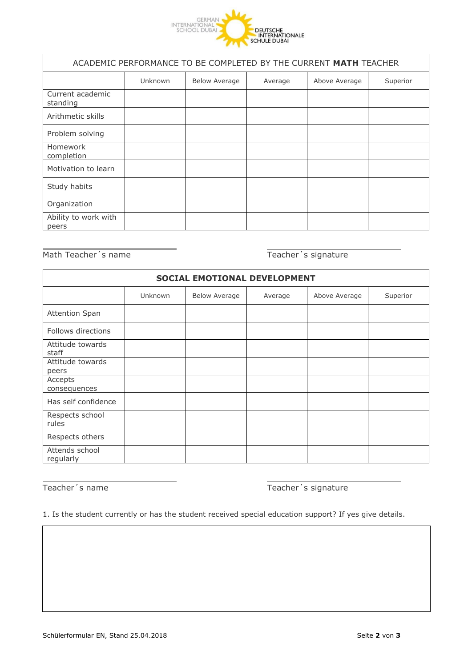

| ACADEMIC PERFORMANCE TO BE COMPLETED BY THE CURRENT MATH TEACHER |         |                      |         |               |          |  |  |
|------------------------------------------------------------------|---------|----------------------|---------|---------------|----------|--|--|
|                                                                  | Unknown | <b>Below Average</b> | Average | Above Average | Superior |  |  |
| Current academic<br>standing                                     |         |                      |         |               |          |  |  |
| Arithmetic skills                                                |         |                      |         |               |          |  |  |
| Problem solving                                                  |         |                      |         |               |          |  |  |
| <b>Homework</b><br>completion                                    |         |                      |         |               |          |  |  |
| Motivation to learn                                              |         |                      |         |               |          |  |  |
| Study habits                                                     |         |                      |         |               |          |  |  |
| Organization                                                     |         |                      |         |               |          |  |  |
| Ability to work with<br>peers                                    |         |                      |         |               |          |  |  |

Math Teacher's name Teacher's signature

| SOCIAL EMOTIONAL DEVELOPMENT |         |                      |         |               |          |  |  |  |
|------------------------------|---------|----------------------|---------|---------------|----------|--|--|--|
|                              | Unknown | <b>Below Average</b> | Average | Above Average | Superior |  |  |  |
| <b>Attention Span</b>        |         |                      |         |               |          |  |  |  |
| Follows directions           |         |                      |         |               |          |  |  |  |
| Attitude towards<br>staff    |         |                      |         |               |          |  |  |  |
| Attitude towards<br>peers    |         |                      |         |               |          |  |  |  |
| Accepts<br>consequences      |         |                      |         |               |          |  |  |  |
| Has self confidence          |         |                      |         |               |          |  |  |  |
| Respects school<br>rules     |         |                      |         |               |          |  |  |  |
| Respects others              |         |                      |         |               |          |  |  |  |
| Attends school<br>regularly  |         |                      |         |               |          |  |  |  |

Teacher's name Teacher's signature

1. Is the student currently or has the student received special education support? If yes give details.